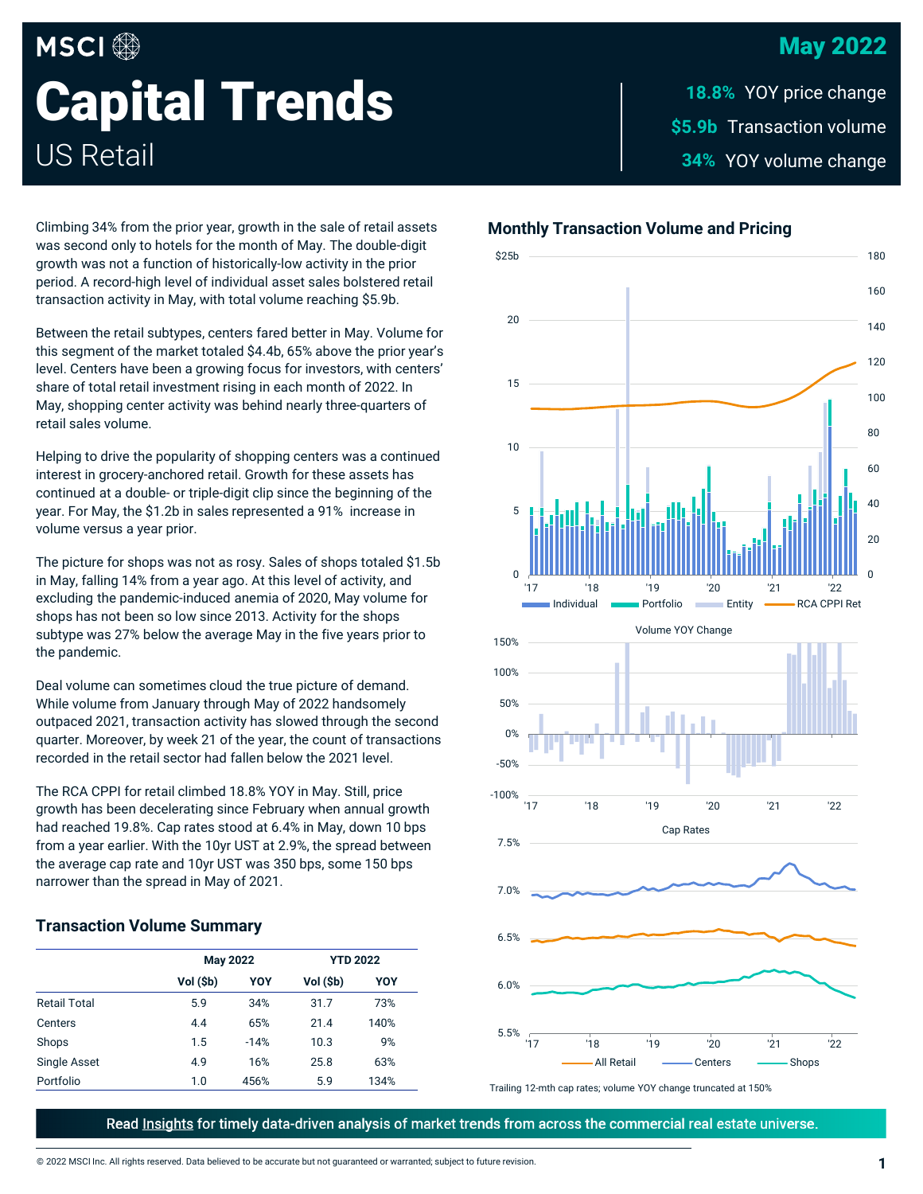## May 2022

# **MSCI Capital Trends** US Retail

\$5.9b Transaction volume YOY volume change **34% 18.8% YOY price change** 

Climbing 34% from the prior year, growth in the sale of retail assets was second only to hotels for the month of May. The double-digit growth was not a function of historically-low activity in the prior period. A record-high level of individual asset sales bolstered retail transaction activity in May, with total volume reaching \$5.9b.

Between the retail subtypes, centers fared better in May. Volume for this segment of the market totaled \$4.4b, 65% above the prior year's level. Centers have been a growing focus for investors, with centers' share of total retail investment rising in each month of 2022. In May, shopping center activity was behind nearly three-quarters of retail sales volume.

Helping to drive the popularity of shopping centers was a continued interest in grocery-anchored retail. Growth for these assets has continued at a double- or triple-digit clip since the beginning of the year. For May, the \$1.2b in sales represented a 91% increase in volume versus a year prior.

The picture for shops was not as rosy. Sales of shops totaled \$1.5b in May, falling 14% from a year ago. At this level of activity, and excluding the pandemic-induced anemia of 2020, May volume for shops has not been so low since 2013. Activity for the shops subtype was 27% below the average May in the five years prior to the pandemic.

Deal volume can sometimes cloud the true picture of demand. While volume from January through May of 2022 handsomely outpaced 2021, transaction activity has slowed through the second quarter. Moreover, by week 21 of the year, the count of transactions recorded in the retail sector had fallen below the 2021 level.

The RCA CPPI for retail climbed 18.8% YOY in May. Still, price growth has been decelerating since February when annual growth had reached 19.8%. Cap rates stood at 6.4% in May, down 10 bps from a year earlier. With the 10yr UST at 2.9%, the spread between the average cap rate and 10yr UST was 350 bps, some 150 bps narrower than the spread in May of 2021.

## **Transaction Volume Summary**

|                     |           | <b>May 2022</b> |           | <b>YTD 2022</b> |  |
|---------------------|-----------|-----------------|-----------|-----------------|--|
|                     | Vol (\$b) | YOY             | Vol (\$b) | YOY             |  |
| <b>Retail Total</b> | 5.9       | 34%             | 31.7      | 73%             |  |
| Centers             | 4.4       | 65%             | 21.4      | 140%            |  |
| Shops               | 1.5       | $-14%$          | 10.3      | 9%              |  |
| Single Asset        | 4.9       | 16%             | 25.8      | 63%             |  |
| Portfolio           | 1.0       | 456%            | 5.9       | 134%            |  |

### **Monthly Transaction Volume and Pricing**



Trailing 12-mth cap rates; volume YOY change truncated at 150%

Read Insights for timely data-driven analysis of market trends from across the commercial real estate universe.